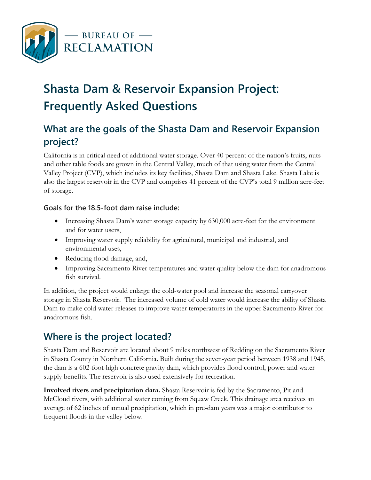

# **Shasta Dam & Reservoir Expansion Project: Frequently Asked Questions**<br>What are the goals of the Shasta Dam and Reservoir Expansion

# **project?**

 Valley Project (CVP), which includes its key facilities, Shasta Dam and Shasta Lake. Shasta Lake is California is in critical need of additional water storage. Over 40 percent of the nation's fruits, nuts and other table foods are grown in the Central Valley, much of that using water from the Central also the largest reservoir in the CVP and comprises 41 percent of the CVP's total 9 million acre-feet of storage.

#### **Goals for the 18.5-foot dam raise include:**

- Increasing Shasta Dam's water storage capacity by 630,000 acre-feet for the environment and for water users,
- Improving water supply reliability for agricultural, municipal and industrial, and environmental uses,
- Reducing flood damage, and,
- Improving Sacramento River temperatures and water quality below the dam for anadromous fish survival.

In addition, the project would enlarge the cold-water pool and increase the seasonal carryover storage in Shasta Reservoir. The increased volume of cold water would increase the ability of Shasta Dam to make cold water releases to improve water temperatures in the upper Sacramento River for anadromous fish.

# **Where is the project located?**

Shasta Dam and Reservoir are located about 9 miles northwest of Redding on the Sacramento River in Shasta County in Northern California. Built during the seven-year period between 1938 and 1945, the dam is a 602-foot-high concrete gravity dam, which provides flood control, power and water supply benefits. The reservoir is also used extensively for recreation.

 frequent floods in the valley below. **Involved rivers and precipitation data.** Shasta Reservoir is fed by the Sacramento, Pit and McCloud rivers, with additional water coming from Squaw Creek. This drainage area receives an average of 62 inches of annual precipitation, which in pre-dam years was a major contributor to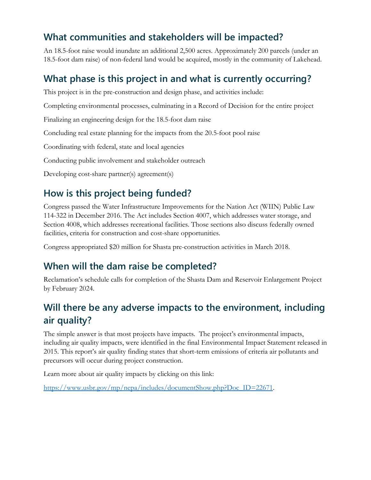### **What communities and stakeholders will be impacted?**

An 18.5-foot raise would inundate an additional 2,500 acres. Approximately 200 parcels (under an 18.5-foot dam raise) of non-federal land would be acquired, mostly in the community of Lakehead.

## **What phase is this project in and what is currently occurring?**

This project is in the pre-construction and design phase, and activities include:

Completing environmental processes, culminating in a Record of Decision for the entire project

Finalizing an engineering design for the 18.5-foot dam raise

Concluding real estate planning for the impacts from the 20.5-foot pool raise

Coordinating with federal, state and local agencies

Conducting public involvement and stakeholder outreach

Developing cost-share partner(s) agreement(s)

#### **How is this project being funded?**

 facilities, criteria for construction and cost-share opportunities. Congress passed the Water Infrastructure Improvements for the Nation Act (WIIN) Public Law 114-322 in December 2016. The Act includes Section 4007, which addresses water storage, and Section 4008, which addresses recreational facilities. Those sections also discuss federally owned

Congress appropriated \$20 million for Shasta pre-construction activities in March 2018.

#### **When will the dam raise be completed?**

Reclamation's schedule calls for completion of the Shasta Dam and Reservoir Enlargement Project by February 2024.

# **Will there be any adverse impacts to the environment, including air quality?**

 including air quality impacts, were identified in the final Environmental Impact Statement released in precursors will occur during project construction. The simple answer is that most projects have impacts. The project's environmental impacts, 2015. This report's air quality finding states that short-term emissions of criteria air pollutants and

Learn more about air quality impacts by clicking on this link:

[https://www.usbr.gov/mp/nepa/includes/documentShow.php?Doc\\_ID=22671.](https://www.usbr.gov/mp/nepa/includes/documentShow.php?Doc_ID=22671)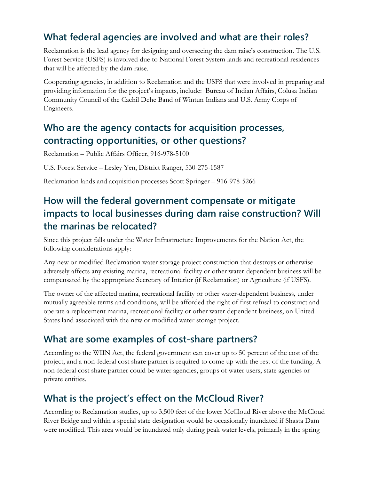## **What federal agencies are involved and what are their roles?**

Reclamation is the lead agency for designing and overseeing the dam raise's construction. The U.S. Forest Service (USFS) is involved due to National Forest System lands and recreational residences that will be affected by the dam raise.

Cooperating agencies, in addition to Reclamation and the USFS that were involved in preparing and providing information for the project's impacts, include: Bureau of Indian Affairs, Colusa Indian Community Council of the Cachil Dehe Band of Wintun Indians and U.S. Army Corps of Engineers.

#### **Who are the agency contacts for acquisition processes, contracting opportunities, or other questions?**

Reclamation – Public Affairs Officer, 916-978-5100

U.S. Forest Service – Lesley Yen, District Ranger, 530-275-1587

Reclamation lands and acquisition processes Scott Springer – 916-978-5266

## **How will the federal government compensate or mitigate impacts to local businesses during dam raise construction? Will the marinas be relocated?**

following considerations apply: Since this project falls under the Water Infrastructure Improvements for the Nation Act, the

Any new or modified Reclamation water storage project construction that destroys or otherwise adversely affects any existing marina, recreational facility or other water-dependent business will be compensated by the appropriate Secretary of Interior (if Reclamation) or Agriculture (if USFS).

The owner of the affected marina, recreational facility or other water-dependent business, under mutually agreeable terms and conditions, will be afforded the right of first refusal to construct and operate a replacement marina, recreational facility or other water-dependent business, on United States land associated with the new or modified water storage project.

#### **What are some examples of cost-share partners?**

 project, and a non-federal cost share partner is required to come up with the rest of the funding. A According to the WIIN Act, the federal government can cover up to 50 percent of the cost of the non-federal cost share partner could be water agencies, groups of water users, state agencies or private entities.

#### **What is the project's effect on the McCloud River?**

According to Reclamation studies, up to 3,500 feet of the lower McCloud River above the McCloud River Bridge and within a special state designation would be occasionally inundated if Shasta Dam were modified. This area would be inundated only during peak water levels, primarily in the spring